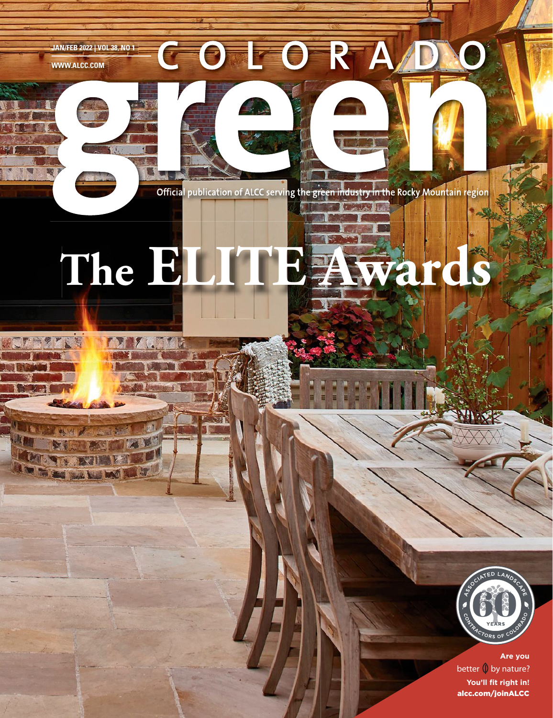**JAN/FEB 2022 | VOL 38, NO 1**

أت أيضاً

**WWW.ALCC.COM**

Official publication of ALCC serving the green industry in the Rocky Mountain region

Europei

COLORAD

# **The ELITE Awards**



**You'll fit right in!** alcc.com/joinALCC **better 0 by nature?**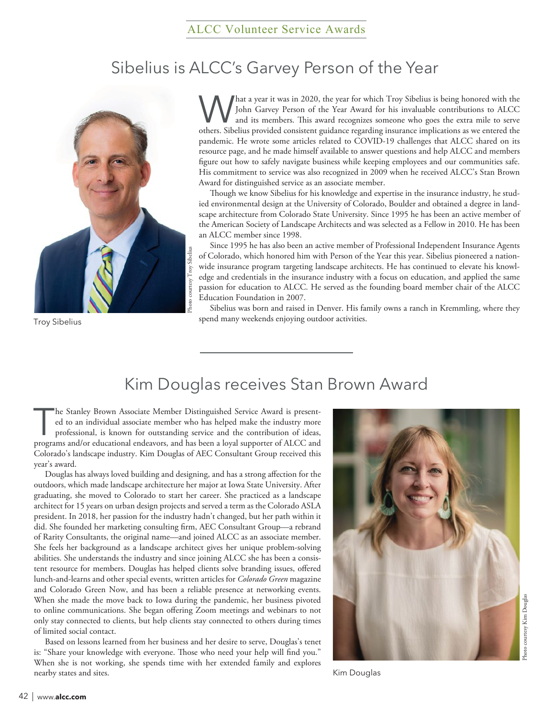# Sibelius is ALCC's Garvey Person of the Year



Troy Sibelius

What a year it was in 2020, the year for which Troy Sibelius is being honored with the<br>John Garvey Person of the Year Award for his invaluable contributions to ALCC<br>and its members. This award recognizes someone who goes t John Garvey Person of the Year Award for his invaluable contributions to ALCC and its members. This award recognizes someone who goes the extra mile to serve others. Sibelius provided consistent guidance regarding insurance implications as we entered the pandemic. He wrote some articles related to COVID-19 challenges that ALCC shared on its resource page, and he made himself available to answer questions and help ALCC and members figure out how to safely navigate business while keeping employees and our communities safe. His commitment to service was also recognized in 2009 when he received ALCC's Stan Brown Award for distinguished service as an associate member.

Though we know Sibelius for his knowledge and expertise in the insurance industry, he studied environmental design at the University of Colorado, Boulder and obtained a degree in landscape architecture from Colorado State University. Since 1995 he has been an active member of the American Society of Landscape Architects and was selected as a Fellow in 2010. He has been an ALCC member since 1998.

Since 1995 he has also been an active member of Professional Independent Insurance Agents of Colorado, which honored him with Person of the Year this year. Sibelius pioneered a nationwide insurance program targeting landscape architects. He has continued to elevate his knowledge and credentials in the insurance industry with a focus on education, and applied the same passion for education to ALCC. He served as the founding board member chair of the ALCC Education Foundation in 2007.

Sibelius was born and raised in Denver. His family owns a ranch in Kremmling, where they spend many weekends enjoying outdoor activities.

## Kim Douglas receives Stan Brown Award

The Stanley Brown Associate Member Distinguished Service Award is presented to an individual associate member who has helped make the industry more professional, is known for outstanding service and the contribution of ide ed to an individual associate member who has helped make the industry more professional, is known for outstanding service and the contribution of ideas, programs and/or educational endeavors, and has been a loyal supporter of ALCC and Colorado's landscape industry. Kim Douglas of AEC Consultant Group received this year's award.

Douglas has always loved building and designing, and has a strong affection for the outdoors, which made landscape architecture her major at Iowa State University. After graduating, she moved to Colorado to start her career. She practiced as a landscape architect for 15 years on urban design projects and served a term as the Colorado ASLA president. In 2018, her passion for the industry hadn't changed, but her path within it did. She founded her marketing consulting firm, AEC Consultant Group—a rebrand of Rarity Consultants, the original name—and joined ALCC as an associate member. She feels her background as a landscape architect gives her unique problem-solving abilities. She understands the industry and since joining ALCC she has been a consistent resource for members. Douglas has helped clients solve branding issues, offered lunch-and-learns and other special events, written articles for *Colorado Green* magazine and Colorado Green Now, and has been a reliable presence at networking events. When she made the move back to Iowa during the pandemic, her business pivoted to online communications. She began offering Zoom meetings and webinars to not only stay connected to clients, but help clients stay connected to others during times of limited social contact.

Based on lessons learned from her business and her desire to serve, Douglas's tenet is: "Share your knowledge with everyone. Those who need your help will find you." When she is not working, she spends time with her extended family and explores nearby states and sites. The state of the state of the state of the state of the state of the state of the state of the state of the state of the state of the state of the state of the state of the state of the state of th